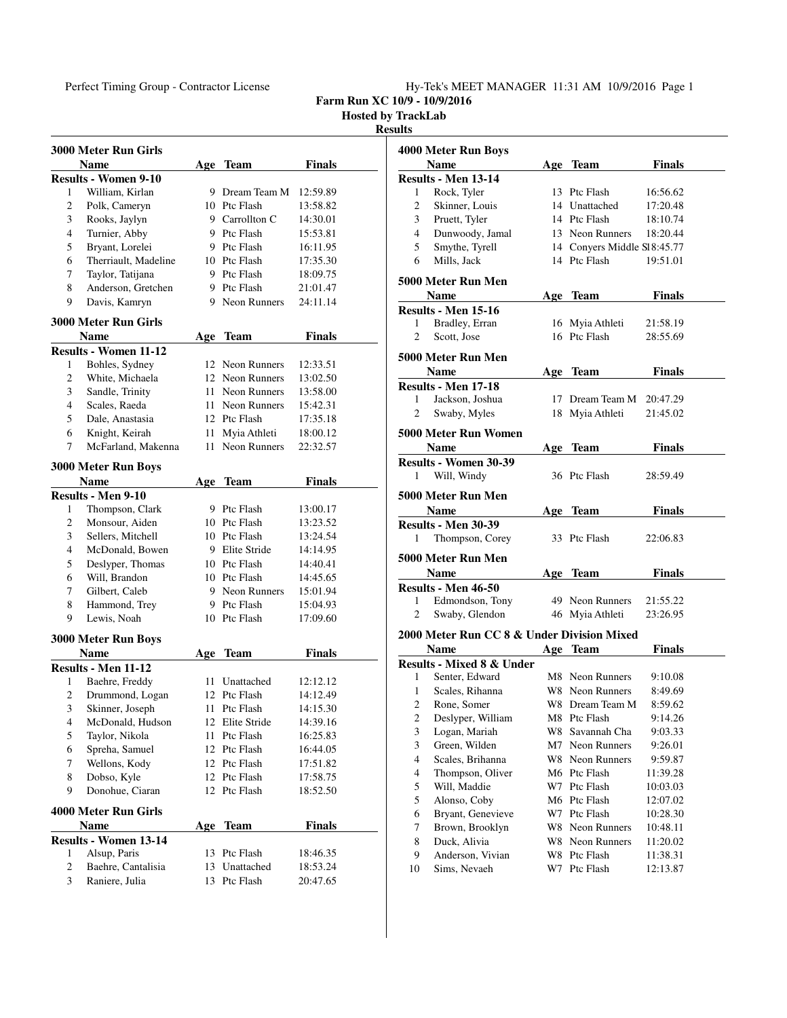## Perfect Timing Group - Contractor License Hy-Tek's MEET MANAGER 11:31 AM 10/9/2016 Page 1

**Farm Run XC 10/9 - 10/9/2016**

**Hosted by TrackLab Results**

|   | 3000 Meter Run Girls         |      |                     |               |
|---|------------------------------|------|---------------------|---------------|
|   | <b>Name</b>                  |      | Age Team            | Finals        |
|   | <b>Results - Women 9-10</b>  |      |                     |               |
| 1 | William, Kirlan              |      | 9 Dream Team M      | 12:59.89      |
| 2 | Polk, Cameryn                |      | 10 Ptc Flash        | 13:58.82      |
| 3 | Rooks, Jaylyn                |      | 9 Carrollton C      | 14:30.01      |
| 4 | Turnier, Abby                |      | 9 Ptc Flash         | 15:53.81      |
| 5 | Bryant, Lorelei              |      | 9 Ptc Flash         | 16:11.95      |
| 6 | Therriault, Madeline         |      | 10 Ptc Flash        | 17:35.30      |
| 7 | Taylor, Tatijana             |      | 9 Ptc Flash         | 18:09.75      |
| 8 | Anderson, Gretchen           |      | 9 Ptc Flash         | 21:01.47      |
| 9 | Davis, Kamryn                |      | 9 Neon Runners      | 24:11.14      |
|   | <b>3000 Meter Run Girls</b>  |      |                     |               |
|   | Name                         | Age  | <b>Team</b>         | <b>Finals</b> |
|   | <b>Results - Women 11-12</b> |      |                     |               |
| 1 | Bohles, Sydney               |      | 12 Neon Runners     | 12:33.51      |
| 2 | White, Michaela              |      | 12 Neon Runners     | 13:02.50      |
| 3 | Sandle, Trinity              |      | 11 Neon Runners     | 13:58.00      |
| 4 | Scales, Raeda                |      | 11 Neon Runners     | 15:42.31      |
| 5 | Dale, Anastasia              |      | 12 Ptc Flash        | 17:35.18      |
| 6 | Knight, Keirah               |      | 11 Myia Athleti     | 18:00.12      |
| 7 | McFarland, Makenna           | 11 - | <b>Neon Runners</b> | 22:32.57      |
|   |                              |      |                     |               |
|   | 3000 Meter Run Boys          |      |                     |               |
|   | Name                         | Age  | <b>Team</b>         | <b>Finals</b> |
|   | Results - Men 9-10           |      |                     |               |
| 1 | Thompson, Clark              |      | 9 Ptc Flash         | 13:00.17      |
| 2 | Monsour, Aiden               |      | 10 Ptc Flash        | 13:23.52      |
| 3 | Sellers, Mitchell            |      | 10 Ptc Flash        | 13:24.54      |
| 4 | McDonald, Bowen              |      | 9 Elite Stride      | 14:14.95      |
| 5 | Deslyper, Thomas             |      | 10 Ptc Flash        | 14:40.41      |
| 6 | Will, Brandon                |      | 10 Ptc Flash        | 14:45.65      |
| 7 | Gilbert, Caleb               |      | 9 Neon Runners      | 15:01.94      |
| 8 | Hammond, Trey                |      | 9 Ptc Flash         | 15:04.93      |
| 9 | Lewis, Noah                  |      | 10 Ptc Flash        | 17:09.60      |
|   | 3000 Meter Run Boys          |      |                     |               |
|   | <b>Name</b>                  | Age  | Team                | Finals        |
|   | <b>Results - Men 11-12</b>   |      |                     |               |
| 1 | Baehre, Freddy               |      | 11 Unattached       | 12:12.12      |
| 2 | Drummond, Logan              |      | 12 Ptc Flash        | 14:12.49      |
| 3 | Skinner, Joseph              |      | 11 Ptc Flash        | 14:15.30      |
| 4 | McDonald, Hudson             |      | 12 Elite Stride     | 14:39.16      |
| 5 | Taylor, Nikola               | 11   | Ptc Flash           | 16:25.83      |
| 6 | Spreha, Samuel               | 12   | Ptc Flash           | 16:44.05      |
| 7 | Wellons, Kody                |      | 12 Ptc Flash        | 17:51.82      |
| 8 | Dobso, Kyle                  |      | 12 Ptc Flash        | 17:58.75      |
| 9 | Donohue, Ciaran              |      | 12 Ptc Flash        | 18:52.50      |
|   | 4000 Meter Run Girls         |      |                     |               |
|   | Name                         | Age  | <b>Team</b>         | <b>Finals</b> |
|   | <b>Results - Women 13-14</b> |      |                     |               |
| 1 | Alsup, Paris                 |      | 13 Ptc Flash        | 18:46.35      |
| 2 | Baehre, Cantalisia           |      | 13 Unattached       | 18:53.24      |
| 3 | Raniere, Julia               | 13   | Ptc Flash           | 20:47.65      |

|                | 4000 Meter Run Boys                           |            |                              |                      |  |
|----------------|-----------------------------------------------|------------|------------------------------|----------------------|--|
|                | <b>Name</b>                                   |            | Age Team                     | <b>Finals</b>        |  |
|                | Results - Men 13-14                           |            |                              |                      |  |
| 1              | Rock, Tyler                                   |            | 13 Ptc Flash                 | 16:56.62             |  |
| 2              | Skinner, Louis                                |            | 14 Unattached                | 17:20.48             |  |
| 3              | Pruett, Tyler                                 |            | 14 Ptc Flash                 | 18:10.74             |  |
| $\overline{4}$ | Dunwoody, Jamal                               |            | 13 Neon Runners              | 18:20.44             |  |
| 5              | Smythe, Tyrell                                |            | 14 Conyers Middle SI 8:45.77 |                      |  |
| 6              | Mills, Jack                                   |            | 14 Ptc Flash                 | 19:51.01             |  |
|                |                                               |            |                              |                      |  |
|                | 5000 Meter Run Men                            |            |                              |                      |  |
|                | <b>Name</b>                                   |            | Age Team                     | <b>Finals</b>        |  |
|                | Results - Men 15-16                           |            |                              |                      |  |
| 1              | Bradley, Erran                                |            | 16 Myia Athleti              | 21:58.19             |  |
| 2              | Scott, Jose                                   |            | 16 Ptc Flash                 | 28:55.69             |  |
|                | 5000 Meter Run Men                            |            |                              |                      |  |
|                | Name                                          | Age        | <b>Team</b>                  | Finals               |  |
|                | <b>Results - Men 17-18</b>                    |            |                              |                      |  |
| 1              | Jackson, Joshua                               |            | 17 Dream Team M              | 20:47.29             |  |
| 2              | Swaby, Myles                                  |            | 18 Myia Athleti              | 21:45.02             |  |
|                |                                               |            |                              |                      |  |
|                | 5000 Meter Run Women                          |            |                              |                      |  |
|                | Name                                          | Age        | <b>Team</b>                  | Finals               |  |
|                | <b>Results - Women 30-39</b>                  |            |                              |                      |  |
| 1              | Will, Windy                                   |            | 36 Ptc Flash                 | 28:59.49             |  |
|                | 5000 Meter Run Men                            |            |                              |                      |  |
|                | Name                                          |            |                              |                      |  |
|                |                                               | Age        | Team                         | <b>Finals</b>        |  |
| 1              | <b>Results - Men 30-39</b><br>Thompson, Corey |            | 33 Ptc Flash                 | 22:06.83             |  |
|                |                                               |            |                              |                      |  |
|                |                                               |            |                              |                      |  |
|                | 5000 Meter Run Men                            |            |                              |                      |  |
|                | <b>Name</b>                                   |            | Age Team                     | <b>Finals</b>        |  |
|                | Results - Men 46-50                           |            |                              |                      |  |
| 1              | Edmondson, Tony                               |            | 49 Neon Runners              | 21:55.22             |  |
| 2              | Swaby, Glendon                                |            | 46 Myia Athleti              | 23:26.95             |  |
|                |                                               |            |                              |                      |  |
|                | 2000 Meter Run CC 8 & Under Division Mixed    |            |                              |                      |  |
|                | Name                                          | <u>Age</u> | <b>Team</b>                  | <b>Finals</b>        |  |
|                | <b>Results - Mixed 8 &amp; Under</b>          |            |                              |                      |  |
| 1              | Senter, Edward                                |            | M8 Neon Runners              | 9:10.08              |  |
| 1              | Scales, Rihanna                               |            | W8 Neon Runners              | 8:49.69              |  |
| 2              | Rone, Somer                                   |            | W8 Dream Team M              | 8:59.62              |  |
| $\mathfrak{2}$ | Deslyper, William                             |            | M8 Ptc Flash                 | 9:14.26              |  |
| 3              | Logan, Mariah                                 | W8.        | Savannah Cha                 | 9:03.33              |  |
| 3              | Green, Wilden                                 | M7         | <b>Neon Runners</b>          | 9:26.01              |  |
| $\overline{4}$ | Scales, Brihanna                              | W8         | Neon Runners                 | 9:59.87              |  |
| 4              | Thompson, Oliver                              |            | M6 Ptc Flash                 | 11:39.28             |  |
| 5              | Will, Maddie                                  | W7         | Ptc Flash                    | 10:03.03             |  |
| 5              | Alonso, Coby                                  | M6         | Ptc Flash                    | 12:07.02             |  |
| 6              | Bryant, Genevieve                             | W7         | Ptc Flash                    | 10:28.30             |  |
| 7              | Brown, Brooklyn                               | W8.        | Neon Runners                 | 10:48.11             |  |
| 8              | Duck, Alivia                                  |            | W8 Neon Runners              | 11:20.02             |  |
| 9<br>10        | Anderson, Vivian<br>Sims, Nevaeh              | W8<br>W7   | Ptc Flash<br>Ptc Flash       | 11:38.31<br>12:13.87 |  |